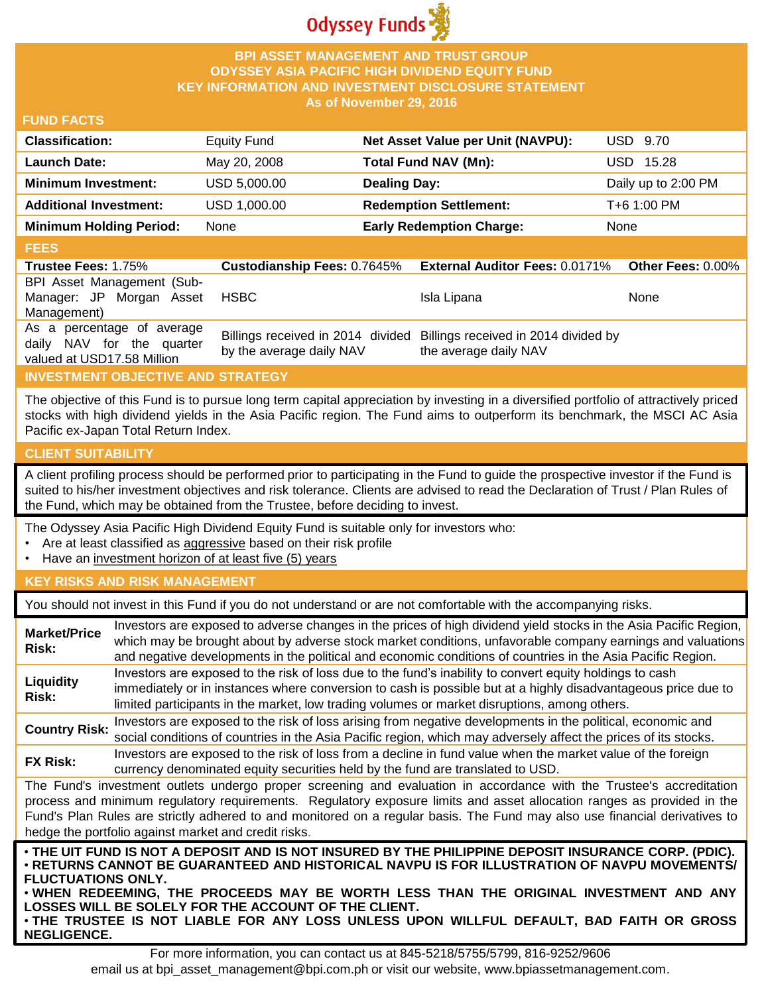

## **BPI ASSET MANAGEMENT AND TRUST GROUP ODYSSEY ASIA PACIFIC HIGH DIVIDEND EQUITY FUND KEY INFORMATION AND INVESTMENT DISCLOSURE STATEMENT As of November 29, 2016**

### **FUND FACTS**

| <b>Classification:</b>         | <b>Equity Fund</b> | Net Asset Value per Unit (NAVPU): | USD 9.70            |
|--------------------------------|--------------------|-----------------------------------|---------------------|
| <b>Launch Date:</b>            | May 20, 2008       | Total Fund NAV (Mn):              | USD 15.28           |
| <b>Minimum Investment:</b>     | USD 5,000.00       | <b>Dealing Day:</b>               | Daily up to 2:00 PM |
| <b>Additional Investment:</b>  | USD 1,000.00       | <b>Redemption Settlement:</b>     | T+6 1:00 PM         |
| <b>Minimum Holding Period:</b> | None               | <b>Early Redemption Charge:</b>   | None                |

## **FEES**

| <b>Trustee Fees: 1.75%</b>                                                            | <b>Custodianship Fees: 0.7645%</b> | <b>External Auditor Fees: 0.0171% Other Fees: 0.00%</b>                                         |      |
|---------------------------------------------------------------------------------------|------------------------------------|-------------------------------------------------------------------------------------------------|------|
| BPI Asset Management (Sub-                                                            |                                    |                                                                                                 |      |
| Manager: JP Morgan Asset                                                              | <b>HSBC</b>                        | Isla Lipana                                                                                     | None |
| Management)                                                                           |                                    |                                                                                                 |      |
| As a percentage of average<br>daily NAV for the quarter<br>valued at USD17.58 Million | by the average daily NAV           | Billings received in 2014 divided Billings received in 2014 divided by<br>the average daily NAV |      |

# **INVESTMENT OBJECTIVE AND STRATEGY**

The objective of this Fund is to pursue long term capital appreciation by investing in a diversified portfolio of attractively priced stocks with high dividend yields in the Asia Pacific region. The Fund aims to outperform its benchmark, the MSCI AC Asia Pacific ex-Japan Total Return Index.

### **CLIENT SUITABILITY**

**NEGLIGENCE.**

A client profiling process should be performed prior to participating in the Fund to guide the prospective investor if the Fund is suited to his/her investment objectives and risk tolerance. Clients are advised to read the Declaration of Trust / Plan Rules of the Fund, which may be obtained from the Trustee, before deciding to invest.

The Odyssey Asia Pacific High Dividend Equity Fund is suitable only for investors who:

- Are at least classified as aggressive based on their risk profile
- Have an investment horizon of at least five (5) years

### **KEY RISKS AND RISK MANAGEMENT**

You should not invest in this Fund if you do not understand or are not comfortable with the accompanying risks.

| <b>Market/Price</b><br>Risk:                                                                                                                                                                                                                                                                                                                                                                                                         | Investors are exposed to adverse changes in the prices of high dividend yield stocks in the Asia Pacific Region,<br>which may be brought about by adverse stock market conditions, unfavorable company earnings and valuations<br>and negative developments in the political and economic conditions of countries in the Asia Pacific Region. |  |
|--------------------------------------------------------------------------------------------------------------------------------------------------------------------------------------------------------------------------------------------------------------------------------------------------------------------------------------------------------------------------------------------------------------------------------------|-----------------------------------------------------------------------------------------------------------------------------------------------------------------------------------------------------------------------------------------------------------------------------------------------------------------------------------------------|--|
| Liquidity<br><b>Risk:</b>                                                                                                                                                                                                                                                                                                                                                                                                            | Investors are exposed to the risk of loss due to the fund's inability to convert equity holdings to cash<br>immediately or in instances where conversion to cash is possible but at a highly disadvantageous price due to<br>limited participants in the market, low trading volumes or market disruptions, among others.                     |  |
| <b>Country Risk:</b>                                                                                                                                                                                                                                                                                                                                                                                                                 | Investors are exposed to the risk of loss arising from negative developments in the political, economic and<br>social conditions of countries in the Asia Pacific region, which may adversely affect the prices of its stocks.                                                                                                                |  |
| <b>FX Risk:</b>                                                                                                                                                                                                                                                                                                                                                                                                                      | Investors are exposed to the risk of loss from a decline in fund value when the market value of the foreign<br>currency denominated equity securities held by the fund are translated to USD.                                                                                                                                                 |  |
| The Fund's investment outlets undergo proper screening and evaluation in accordance with the Trustee's accreditation<br>process and minimum regulatory requirements. Regulatory exposure limits and asset allocation ranges as provided in the<br>Fund's Plan Rules are strictly adhered to and monitored on a regular basis. The Fund may also use financial derivatives to<br>hedge the portfolio against market and credit risks. |                                                                                                                                                                                                                                                                                                                                               |  |
| . THE UIT FUND IS NOT A DEPOSIT AND IS NOT INSURED BY THE PHILIPPINE DEPOSIT INSURANCE CORP. (PDIC).<br>· RETURNS CANNOT BE GUARANTEED AND HISTORICAL NAVPU IS FOR ILLUSTRATION OF NAVPU MOVEMENTS/<br><b>FLUCTUATIONS ONLY.</b><br>. WHEN REDEEMING, THE PROCEEDS MAY BE WORTH LESS THAN THE ORIGINAL INVESTMENT AND ANY<br>LOSSES WILL BE SOLELY FOR THE ACCOUNT OF THE CLIENT.                                                    |                                                                                                                                                                                                                                                                                                                                               |  |

For more information, you can contact us at 845-5218/5755/5799, 816-9252/9606 email us at bpi\_asset\_management@bpi.com.ph or visit our website, www.bpiassetmanagement.com.

• **THE TRUSTEE IS NOT LIABLE FOR ANY LOSS UNLESS UPON WILLFUL DEFAULT, BAD FAITH OR GROSS**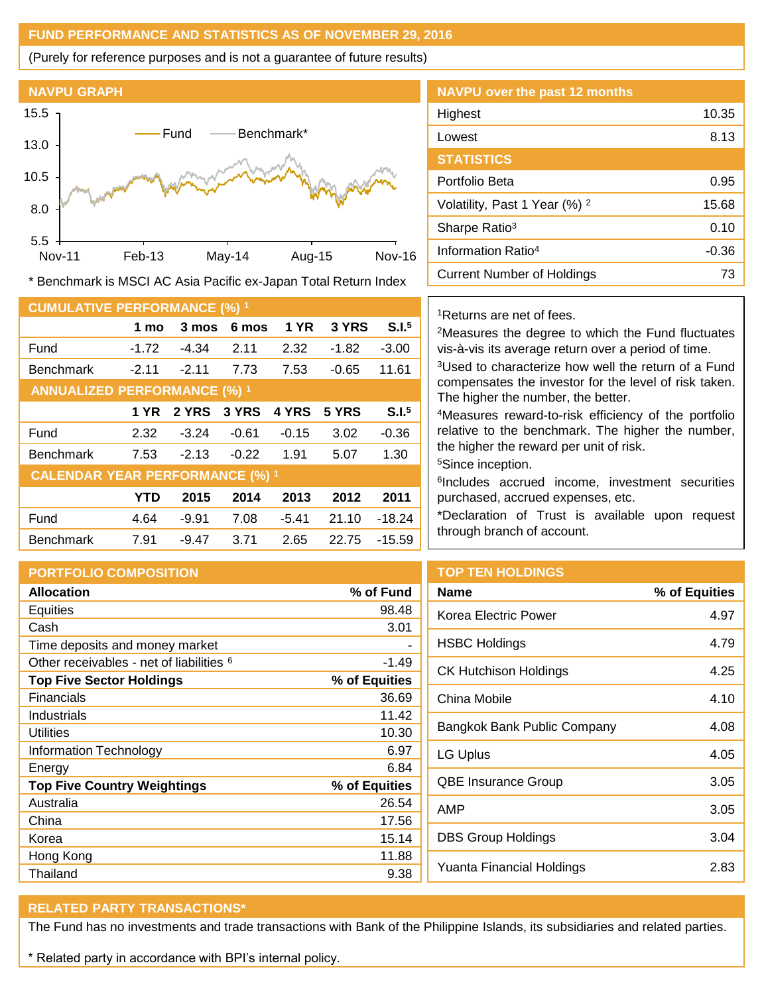# **FUND PERFORMANCE AND STATISTICS AS OF NOVEMBER 29, 2016**

(Purely for reference purposes and is not a guarantee of future results)



**NAVPU over the past 12 months** Highest 10.35 Lowest 8.13 **STATISTICS** Portfolio Beta 6.95 Volatility, Past 1 Year (%) <sup>2</sup> 15.68 Sharpe Ratio<sup>3</sup> 0.10 Information Ratio<sup>4</sup> -0.36 **Current Number of Holdings** 73

\* Benchmark is MSCI AC Asia Pacific ex-Japan Total Return Index

| <b>CUMULATIVE PERFORMANCE (%) 1</b>    |             |         |         |             |         |                   |
|----------------------------------------|-------------|---------|---------|-------------|---------|-------------------|
|                                        | 1 mo        | 3 mos   | 6 mos   | <b>1 YR</b> | 3 YRS   | S.I. <sup>5</sup> |
| Fund                                   | $-1.72$     | $-4.34$ | 2.11    | 2.32        | $-1.82$ | $-3.00$           |
| <b>Benchmark</b>                       | $-2.11$     | $-2.11$ | 7.73    | 7.53        | $-0.65$ | 11.61             |
| <b>ANNUALIZED PERFORMANCE (%) 1</b>    |             |         |         |             |         |                   |
|                                        | <b>1 YR</b> | 2 YRS   | 3 YRS   | 4 YRS       | 5 YRS   | S.I. <sup>5</sup> |
| Fund                                   | 2.32        | $-3.24$ | $-0.61$ | $-0.15$     | 3.02    | $-0.36$           |
| <b>Benchmark</b>                       | 7.53        | $-2.13$ | $-0.22$ | 1.91        | 5.07    | 1.30              |
| <b>CALENDAR YEAR PERFORMANCE (%) 1</b> |             |         |         |             |         |                   |
|                                        | YTD         | 2015    | 2014    | 2013        | 2012    | 2011              |
| Fund                                   | 4.64        | $-9.91$ | 7.08    | $-5.41$     | 21.10   | $-18.24$          |
| <b>Benchmark</b>                       | 7.91        | -9.47   | 3.71    | 2.65        | 22.75   | $-15.59$          |

<sup>1</sup>Returns are net of fees.

<sup>2</sup>Measures the degree to which the Fund fluctuates vis-à-vis its average return over a period of time. <sup>3</sup>Used to characterize how well the return of a Fund

compensates the investor for the level of risk taken. The higher the number, the better.

<sup>4</sup>Measures reward-to-risk efficiency of the portfolio relative to the benchmark. The higher the number, the higher the reward per unit of risk.

<sup>5</sup>Since inception.

6 Includes accrued income, investment securities purchased, accrued expenses, etc.

\*Declaration of Trust is available upon request through branch of account.

| <b>PORTFOLIO COMPOSITION</b>                        |               | то  |  |
|-----------------------------------------------------|---------------|-----|--|
| <b>Allocation</b>                                   | % of Fund     | Na  |  |
| Equities                                            | 98.48         | Koi |  |
| Cash                                                | 3.01          |     |  |
| Time deposits and money market                      |               | НS  |  |
| Other receivables - net of liabilities <sup>6</sup> | $-1.49$       | СK  |  |
| <b>Top Five Sector Holdings</b>                     | % of Equities |     |  |
| Financials                                          | 36.69         | Chi |  |
| Industrials                                         | 11.42         |     |  |
| <b>Utilities</b>                                    | 10.30         | Baı |  |
| Information Technology                              | 6.97          | LG  |  |
| Energy                                              | 6.84          |     |  |
| <b>Top Five Country Weightings</b>                  | % of Equities | QB  |  |
| Australia                                           | 26.54         | AM  |  |
| China                                               | 17.56         |     |  |
| Korea                                               | 15.14         | DB  |  |
| Hong Kong                                           | 11.88         |     |  |
| Thailand                                            | 9.38          | Yu  |  |

### **P TEN HOLDINGS**

| Name                        | % of Equities |
|-----------------------------|---------------|
| Korea Electric Power        | 4.97          |
| HSBC Holdings               | 4.79          |
| CK Hutchison Holdings       | 4.25          |
| China Mobile                | 4.10          |
| Bangkok Bank Public Company | 4.08          |
| LG Uplus                    | 4.05          |
| <b>QBE Insurance Group</b>  | 3.05          |
| AMP                         | 3.05          |
| DBS Group Holdings          | 3.04          |
| Yuanta Financial Holdings   | 2.83          |

#### **RELATED PARTY TRANSACTIONS\***

The Fund has no investments and trade transactions with Bank of the Philippine Islands, its subsidiaries and related parties.

\* Related party in accordance with BPI's internal policy.